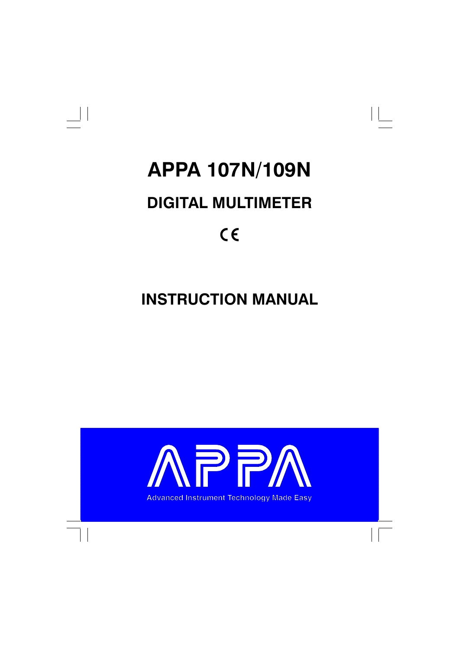



# **APPA 107N/109N**

# **DIGITAL MULTIMETER**

# $C \in$

# **INSTRUCTION MANUAL**

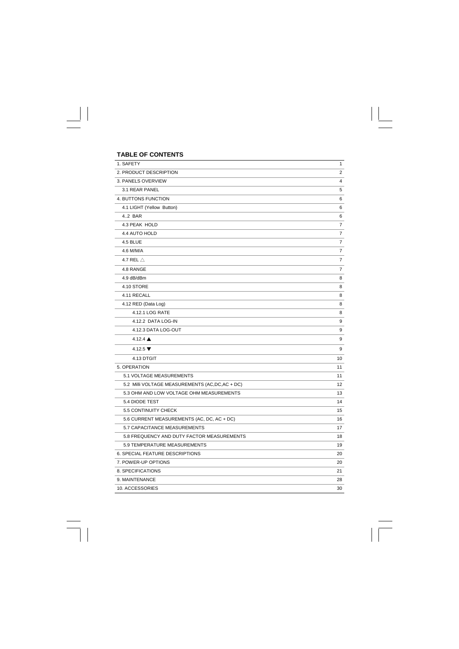| <b>TABLE OF CONTENTS</b>                         |                |
|--------------------------------------------------|----------------|
| 1. SAFETY                                        | 1              |
| 2. PRODUCT DESCRIPTION                           | $\overline{2}$ |
| 3. PANELS OVERVIEW                               | 4              |
| 3.1 REAR PANEL                                   | 5              |
| 4. BUTTONS FUNCTION                              | 6              |
| 4.1 LIGHT (Yellow Button)                        | 6              |
| 4.2 BAR                                          | 6              |
| 4.3 PEAK HOLD                                    | 7              |
| 4.4 AUTO HOLD                                    | 7              |
| 4.5 BLUE                                         | 7              |
| 4.6 M/M/A                                        | 7              |
| 4.7 REL $\triangle$                              | 7              |
| 4.8 RANGE                                        | 7              |
| 4.9 dB/dBm                                       | 8              |
| 4.10 STORE                                       | 8              |
| 4.11 RECALL                                      | 8              |
| 4.12 RED (Data Log)                              | 8              |
| 4.12.1 LOG RATE                                  | 8              |
| 4.12.2 DATA LOG-IN                               | 9              |
| 4.12.3 DATA LOG-OUT                              | 9              |
| 4.12.4 $\triangle$                               | 9              |
| 4.12.5 $\blacktriangledown$                      | 9              |
| 4.13 DTGIT                                       | 10             |
| 5. OPERATION                                     | 11             |
| 5.1 VOLTAGE MEASUREMENTS                         | 11             |
| 5.2 Milli VOLTAGE MEASUREMENTS (AC, DC, AC + DC) | 12             |
| 5.3 OHM AND LOW VOLTAGE OHM MEASUREMENTS         | 13             |
| 5.4 DIODE TEST                                   | 14             |
| 5.5 CONTINUITY CHECK                             | 15             |
| 5.6 CURRENT MEASUREMENTS (AC, DC, AC + DC)       | 16             |
| 5.7 CAPACITANCE MEASUREMENTS                     | 17             |
| 5.8 FREQUENCY AND DUTY FACTOR MEASUREMENTS       | 18             |
| 5.9 TEMPERATURE MEASUREMENTS                     | 19             |
| 6. SPECIAL FEATURE DESCRIPTIONS                  | 20             |
| 7. POWER-UP OPTIONS                              | 20             |
| 8. SPECIFICATIONS                                | 21             |
| 9. MAINTENANCE                                   | 28             |
| 10. ACCESSORIES                                  | 30             |

 $\frac{1}{\sqrt{2}}$ 

 $\begin{array}{c} \overline{\phantom{0}} \\ \overline{\phantom{0}} \end{array}$ 

 $\begin{array}{c|c} \hline \hline \end{array}$ 

 $\frac{1}{\sqrt{2}}$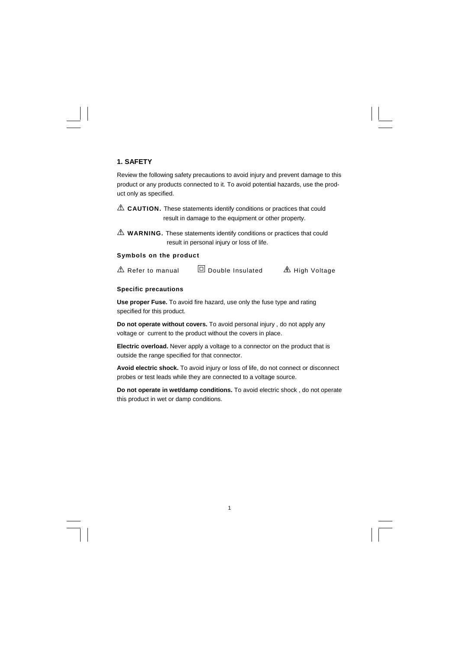## **1. SAFETY**

Review the following safety precautions to avoid injury and prevent damage to this product or any products connected to it. To avoid potential hazards, use the product only as specified.

 $\triangle$  **CAUTION.** These statements identify conditions or practices that could result in damage to the equipment or other property.

**WARNING.** These statements identify conditions or practices that could result in personal injury or loss of life.

#### **Symbols on the product**

 $\mathbb A$  Refer to manual  $\Box$  Double Insulated  $\mathbb A$  High Voltage

#### **Specific precautions**

**Use proper Fuse.** To avoid fire hazard, use only the fuse type and rating specified for this product.

**Do not operate without covers.** To avoid personal injury , do not apply any voltage or current to the product without the covers in place.

**Electric overload.** Never apply a voltage to a connector on the product that is outside the range specified for that connector.

**Avoid electric shock.** To avoid injury or loss of life, do not connect or disconnect probes or test leads while they are connected to a voltage source.

**Do not operate in wet/damp conditions.** To avoid electric shock , do not operate this product in wet or damp conditions.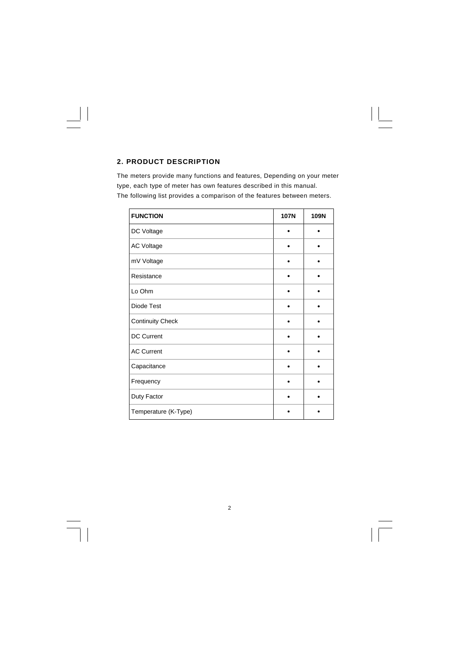# **2. PRODUCT DESCRIPTION**

 $\begin{array}{c|c} \hline \quad \quad & \quad \quad & \quad \quad \\ \hline \quad \quad & \quad \quad & \quad \quad \\ \hline \end{array}$ 

The meters provide many functions and features, Depending on your meter type, each type of meter has own features described in this manual. The following list provides a comparison of the features between meters.

| <b>FUNCTION</b>         | <b>107N</b> | 109N |
|-------------------------|-------------|------|
| DC Voltage              |             |      |
| <b>AC Voltage</b>       |             |      |
| mV Voltage              |             |      |
| Resistance              |             |      |
| Lo Ohm                  |             |      |
| Diode Test              |             |      |
| <b>Continuity Check</b> |             |      |
| DC Current              |             |      |
| <b>AC Current</b>       |             |      |
| Capacitance             |             |      |
| Frequency               |             |      |
| Duty Factor             |             |      |
| Temperature (K-Type)    |             |      |

2

 $\equiv$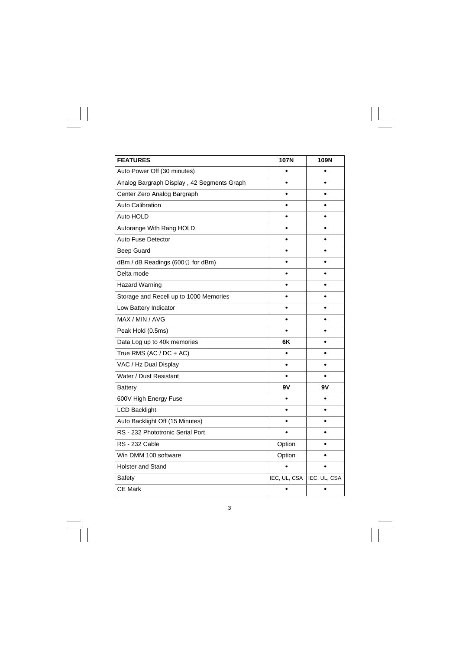| <b>FEATURES</b>                            | <b>107N</b>  | 109N         |
|--------------------------------------------|--------------|--------------|
| Auto Power Off (30 minutes)                | $\bullet$    | ٠            |
| Analog Bargraph Display, 42 Segments Graph |              |              |
| Center Zero Analog Bargraph                |              |              |
| <b>Auto Calibration</b>                    |              |              |
| Auto HOLD                                  |              |              |
| Autorange With Rang HOLD                   | ٠            |              |
| <b>Auto Fuse Detector</b>                  |              |              |
| <b>Beep Guard</b>                          |              |              |
| dBm / dB Readings (600 $\Omega$ for dBm)   |              |              |
| Delta mode                                 |              |              |
| Hazard Warning                             |              |              |
| Storage and Recell up to 1000 Memories     |              |              |
| Low Battery Indicator                      |              |              |
| MAX / MIN / AVG                            |              |              |
| Peak Hold (0.5ms)                          |              |              |
| Data Log up to 40k memories                | 6K           |              |
| True RMS (AC / $DC + AC$ )                 |              |              |
| VAC / Hz Dual Display                      | ٠            |              |
| Water / Dust Resistant                     |              |              |
| Battery                                    | 9۷           | 9٧           |
| 600V High Energy Fuse                      |              |              |
| <b>LCD Backlight</b>                       |              |              |
| Auto Backlight Off (15 Minutes)            |              |              |
| RS - 232 Phototronic Serial Port           |              |              |
| <b>RS</b> - 232 Cable                      | Option       |              |
| Win DMM 100 software                       | Option       |              |
| <b>Holster and Stand</b>                   |              |              |
| Safety                                     | IEC, UL, CSA | IEC, UL, CSA |
| <b>CE Mark</b>                             |              |              |

 $\begin{array}{c} \hline \hline \hline \hline \hline \end{array}$ 

 $\frac{1}{\sqrt{2}}$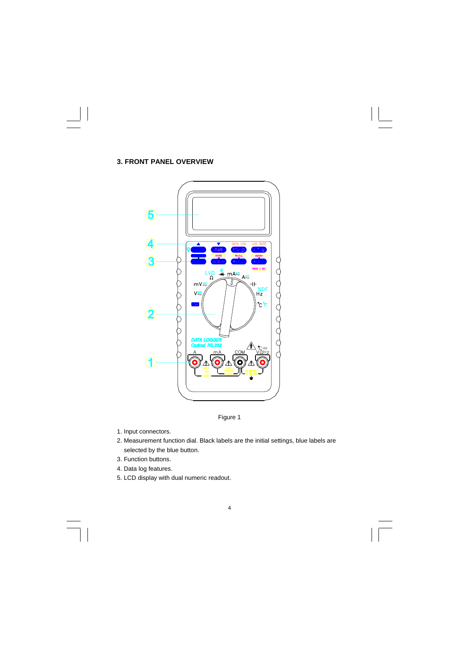



Figure 1

- 1. Input connectors.
- 2. Measurement function dial. Black labels are the initial settings, blue labels are selected by the blue button.
- 3. Function buttons.
- 4. Data log features.
- 5. LCD display with dual numeric readout.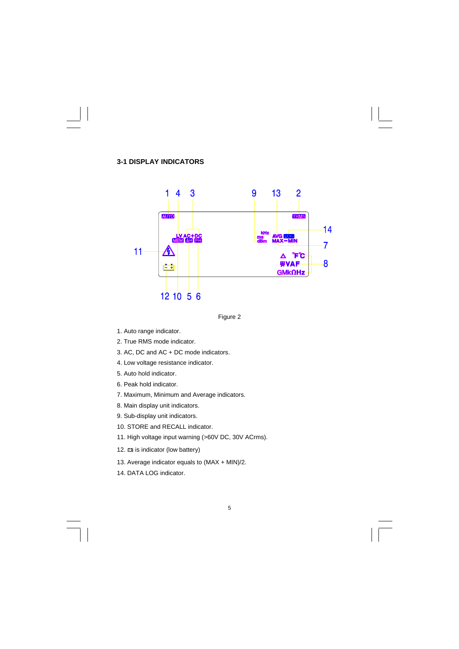## **3-1 DISPLAY INDICATORS**





- 1. Auto range indicator.
- 2. True RMS mode indicator.
- 3. AC, DC and AC + DC mode indicators.
- 4. Low voltage resistance indicator.
- 5. Auto hold indicator.
- 6. Peak hold indicator.
- 7. Maximum, Minimum and Average indicators.
- 8. Main display unit indicators.
- 9. Sub-display unit indicators.
- 10. STORE and RECALL indicator.
- 11. High voltage input warning (>60V DC, 30V ACrms).
- 12.  $\equiv$  is indicator (low battery)
- 13. Average indicator equals to (MAX + MIN)/2.
- 14. DATA LOG indicator.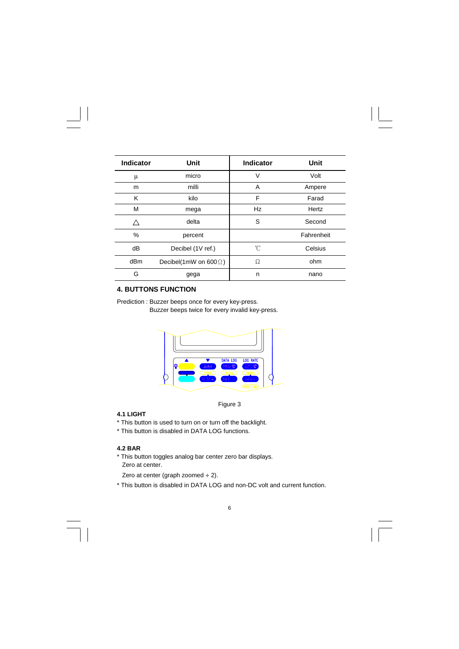| Indicator | Unit                          | Indicator | Unit       |
|-----------|-------------------------------|-----------|------------|
| μ         | micro                         | V         | Volt       |
| m         | milli                         | A         | Ampere     |
| Κ         | kilo                          | F         | Farad      |
| M         | mega                          | Hz        | Hertz      |
|           | delta                         | S         | Second     |
| %         | percent                       |           | Fahrenheit |
| dB        | Decibel (1V ref.)             | °C        | Celsius    |
| dBm       | Decibel(1mW on 600 $\Omega$ ) | Ω         | ohm        |
| G         | gega                          | n         | nano       |

# **4. BUTTONS FUNCTION**

Prediction : Buzzer beeps once for every key-press. Buzzer beeps twice for every invalid key-press.



Figure 3

## **4.1 LIGHT**

- \* This button is used to turn on or turn off the backlight.
- \* This button is disabled in DATA LOG functions.

## **4.2 BAR**

- \* This button toggles analog bar center zero bar displays. Zero at center.
- Zero at center (graph zoomed  $\div$  2).
- \* This button is disabled in DATA LOG and non-DC volt and current function.

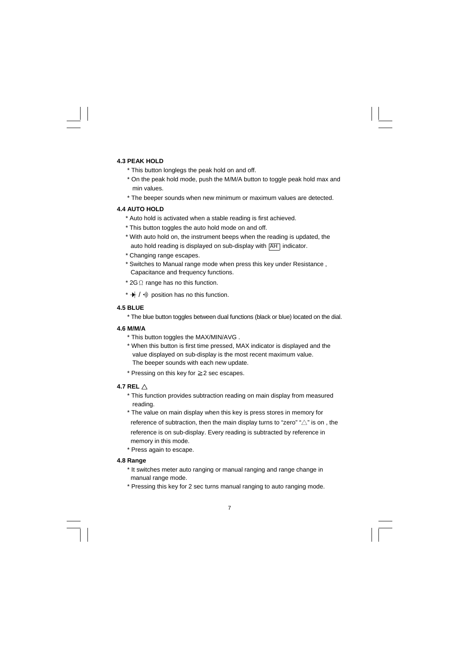#### **4.3 PEAK HOLD**

- \* This button longlegs the peak hold on and off.
- \* On the peak hold mode, push the M/M/A button to toggle peak hold max and min values.
- \* The beeper sounds when new minimum or maximum values are detected.

#### **4.4 AUTO HOLD**

- \* Auto hold is activated when a stable reading is first achieved.
- \* This button toggles the auto hold mode on and off.
- \* With auto hold on, the instrument beeps when the reading is updated, the auto hold reading is displayed on sub-display with AH indicator.
- \* Changing range escapes.
- \* Switches to Manual range mode when press this key under Resistance , Capacitance and frequency functions.
- \* 2GΩ range has no this function.
- \*  $\rightarrow$  /  $\rightarrow$  position has no this function.

### **4.5 BLUE**

\* The blue button toggles between dual functions (black or blue) located on the dial.

#### **4.6 M/M/A**

- \* This button toggles the MAX/MIN/AVG .
- \* When this button is first time pressed, MAX indicator is displayed and the value displayed on sub-display is the most recent maximum value. The beeper sounds with each new update.
- \* Pressing on this key for ≧2 sec escapes.

#### **4.7 REL** △

- \* This function provides subtraction reading on main display from measured reading.
- \* The value on main display when this key is press stores in memory for reference of subtraction, then the main display turns to "zero" " $\triangle$ " is on, the reference is on sub-display. Every reading is subtracted by reference in memory in this mode.
- \* Press again to escape.

#### **4.8 Range**

- \* It switches meter auto ranging or manual ranging and range change in manual range mode.
- \* Pressing this key for 2 sec turns manual ranging to auto ranging mode.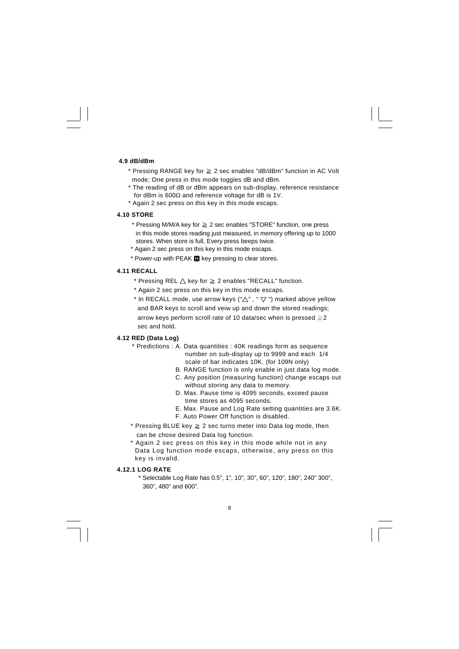#### **4.9 dB/dBm**

- \* Pressing RANGE key for ≧ 2 sec enables "dB/dBm" function in AC Volt mode; One press in this mode toggles dB and dBm.
- \* The reading of dB or dBm appears on sub-display, reference resistance for dBm is  $600\Omega$  and reference voltage for dB is 1V.
- \* Again 2 sec press on this key in this mode escaps.

#### **4.10 STORE**

- \* Pressing M/M/A key for ≧ 2 sec enables "STORE" function, one press in this mode stores reading just measured, in memory offering up to 1000 stores. When store is full, Every press beeps twice.
- \* Again 2 sec press on this key in this mode escaps.
- \* Power-up with PEAK **I** key pressing to clear stores.

#### **4.11 RECALL**

- \* Pressing REL  $\triangle$  key for  $\geq$  2 enables "RECALL" function.
- \* Again 2 sec press on this key in this mode escaps.
- \* In RECALL mode, use arrow keys (" $\Delta$ ", " $\nabla$ ") marked above yellow and BAR keys to scroll and veiw up and down the stored readings; arrow keys perform scroll rate of 10 data/sec when is pressed  $\geq$  2 sec and hold.

### **4.12 RED (Data Log)**

- \* Predictions : A. Data quantities : 40K readings form as sequence number on sub-display up to 9999 and each 1/4 scale of bar indicates 10K. (for 109N only)
	- B. RANGE function is only enable in just data log mode.
	- C. Any position (measuring function) change escaps out without storing any data to memory.
	- D. Max. Pause time is 4095 seconds, exceed pause time stores as 4095 seconds.
	- E. Max. Pause and Log Rate setting quantities are 3.6K.
	- F. Auto Power Off function is disabled.
- \* Pressing BLUE key  $\geq 2$  sec turns meter into Data log mode, then can be chose desired Data log function.
- \* Again 2 sec press on this key in this mode while not in any Data Log function mode escaps, otherwise, any press on this key is invalid.

#### **4.12.1 LOG RATE**

 \* Selectable Log Rate has 0.5", 1", 10", 30", 60", 120", 180", 240" 300", 360", 480" and 600".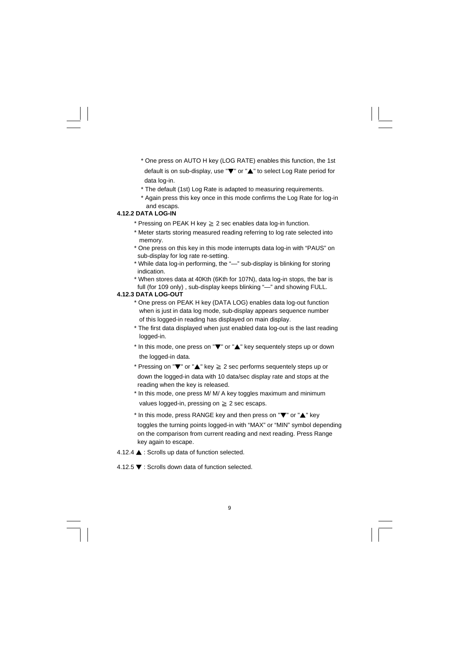- \* One press on AUTO H key (LOG RATE) enables this function, the 1st default is on sub-display, use "▼" or "▲" to select Log Rate period for data log-in.
- \* The default (1st) Log Rate is adapted to measuring requirements.
- \* Again press this key once in this mode confirms the Log Rate for log-in and escaps.

#### **4.12.2 DATA LOG-IN**

- \* Pressing on PEAK H key ≧ 2 sec enables data log-in function.
- \* Meter starts storing measured reading referring to log rate selected into memory.
- \* One press on this key in this mode interrupts data log-in with "PAUS" on sub-display for log rate re-setting.
- \* While data log-in performing, the "—" sub-display is blinking for storing indication.
- \* When stores data at 40Kth (6Kth for 107N), data log-in stops, the bar is full (for 109 only) , sub-display keeps blinking "—" and showing FULL.

#### **4.12.3 DATA LOG-OUT**

- \* One press on PEAK H key (DATA LOG) enables data log-out function when is just in data log mode, sub-display appears sequence number of this logged-in reading has displayed on main display.
- \* The first data displayed when just enabled data log-out is the last reading logged-in.
- \* In this mode, one press on "▼" or "▲" key sequentely steps up or down the logged-in data.
- \* Pressing on "▼" or "▲" key ≧ 2 sec performs sequentely steps up or down the logged-in data with 10 data/sec display rate and stops at the reading when the key is released.
- \* In this mode, one press M/ M/ A key toggles maximum and minimum values logged-in, pressing on ≧ 2 sec escaps.
- \* In this mode, press RANGE key and then press on "▼" or "▲" key toggles the turning points logged-in with "MAX" or "MIN" symbol depending on the comparison from current reading and next reading. Press Range key again to escape.
- 4.12.4 ▲ : Scrolls up data of function selected.
- 4.12.5 ▼ : Scrolls down data of function selected.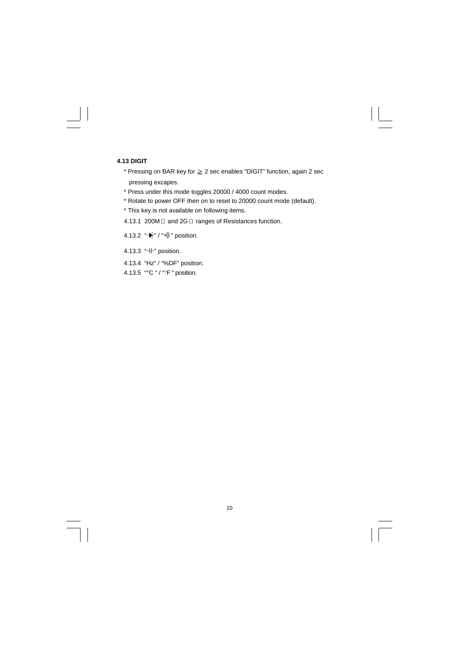#### **4.13 DIGIT**

- \* Pressing on BAR key for ≧ 2 sec enables "DIGIT" function, again 2 sec pressing excapes.
- \* Press under this mode toggles 20000 / 4000 count modes.
- \* Rotate to power OFF then on to reset to 20000 count mode (default).
- \* This key is not available on following items.
- 4.13.1 200MΩ and 2GΩ ranges of Resistances function.
- 4.13.2  $*\nightharpoonup$  " / " $*\nightharpoonup$  " position.
- 4.13.3 "-If" position.
- 4.13.4 "Hz" / "%DF" position.
- 4.13.5 "°C " / "°F " position.

10

 $\overline{\overline{\phantom{a}}\phantom{a}}$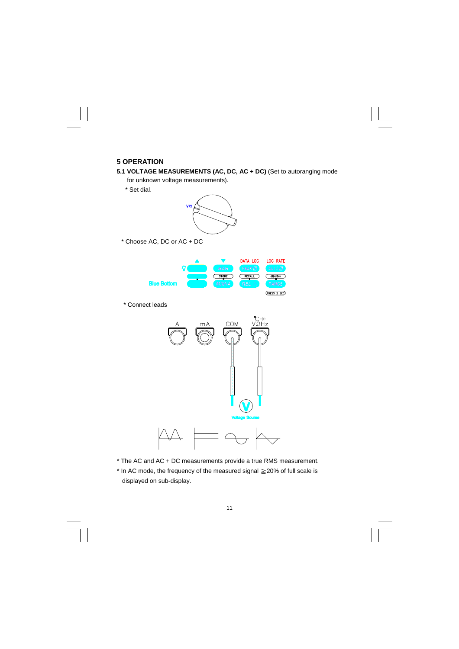# **5 OPERATION**

**5.1 VOLTAGE MEASUREMENTS (AC, DC, AC + DC)** (Set to autoranging mode

for unknown voltage measurements).

\* Set dial.



\* Choose AC, DC or AC + DC



\* Connect leads



- \* The AC and AC + DC measurements provide a true RMS measurement.
- \* In AC mode, the frequency of the measured signal ≧20% of full scale is displayed on sub-display.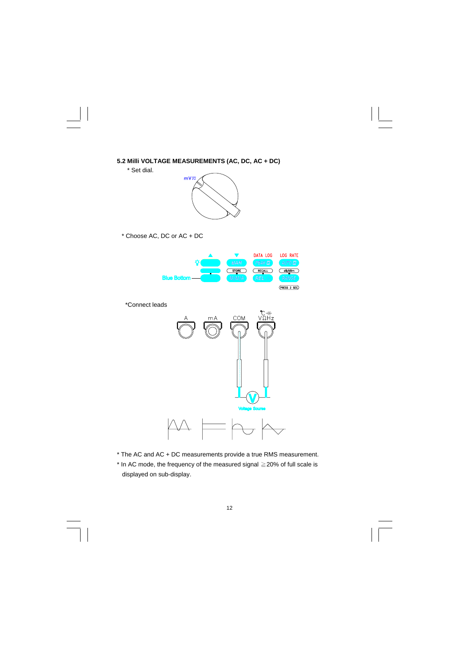



 $\begin{array}{c|c|c|c} \hline \quad \quad & \quad \quad & \quad \quad & \quad \quad \\ \hline \end{array}$ 



\* Choose AC, DC or AC + DC



\*Connect leads



\* The AC and AC + DC measurements provide a true RMS measurement.

\* In AC mode, the frequency of the measured signal ≧20% of full scale is displayed on sub-display.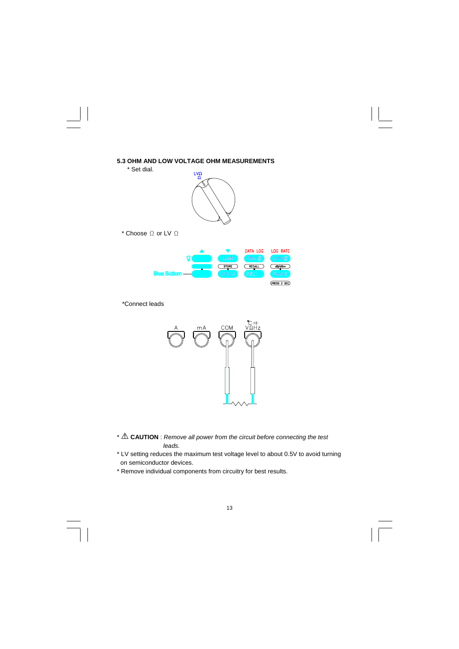

\*Connect leads



\* **CAUTION** : *Remove all power from the circuit before connecting the test leads.* 

\* LV setting reduces the maximum test voltage level to about 0.5V to avoid turning on semiconductor devices.

\* Remove individual components from circuitry for best results.

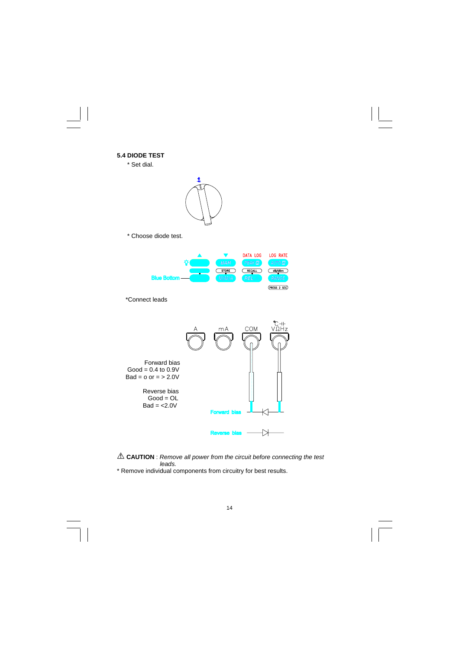

 **CAUTION** : *Remove all power from the circuit before connecting the test <i>leads.* 

\* Remove individual components from circuitry for best results.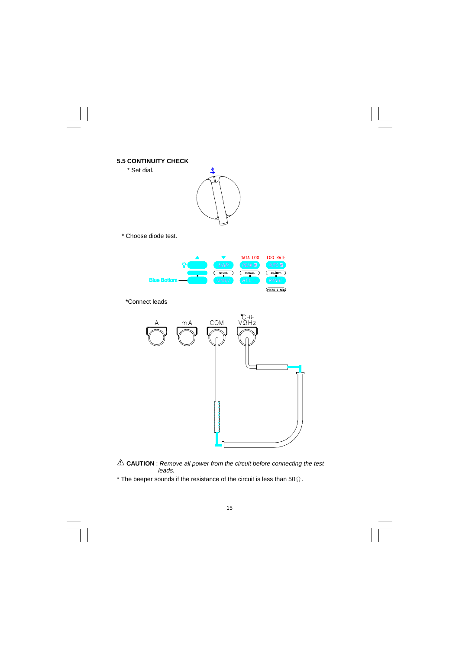

 **CAUTION** : *Remove all power from the circuit before connecting the test leads.* 

ſ

\* The beeper sounds if the resistance of the circuit is less than 50 $\Omega$ .

÷,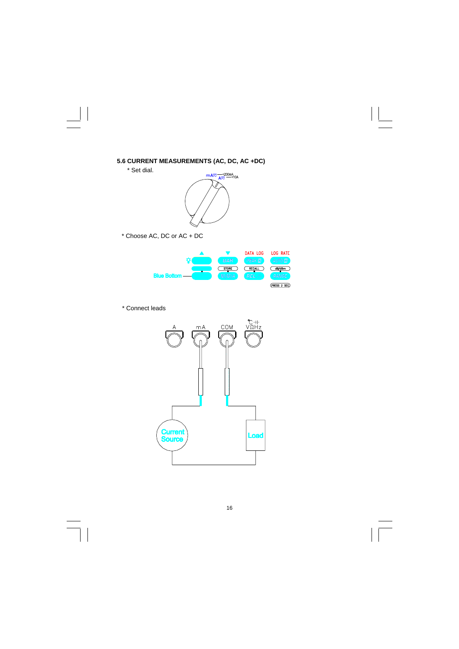



\* Choose AC, DC or AC + DC



\* Connect leads

 $\perp$ 





 $\equiv$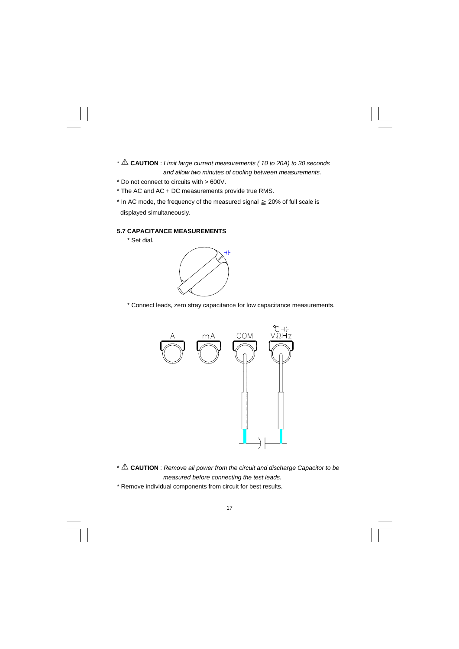- \* **CAUTION** : *Limit large current measurements ( 10 to 20A) to 30 seconds and allow two minutes of cooling between measurements.*
- \* Do not connect to circuits with > 600V.
- \* The AC and AC + DC measurements provide true RMS.
- \* In AC mode, the frequency of the measured signal ≧ 20% of full scale is displayed simultaneously.

#### **5.7 CAPACITANCE MEASUREMENTS**

\* Set dial.



\* Connect leads, zero stray capacitance for low capacitance measurements.



\* **CAUTION** : *Remove all power from the circuit and discharge Capacitor to be measured before connecting the test leads.*  \* Remove individual components from circuit for best results.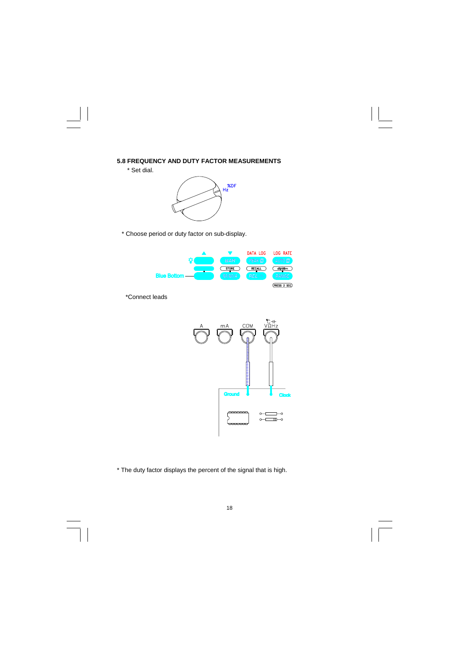# **5.8 FREQUENCY AND DUTY FACTOR MEASUREMENTS**

\* Set dial.



\* Choose period or duty factor on sub-display.



\*Connect leads



\* The duty factor displays the percent of the signal that is high.

#### 18

 $\equiv$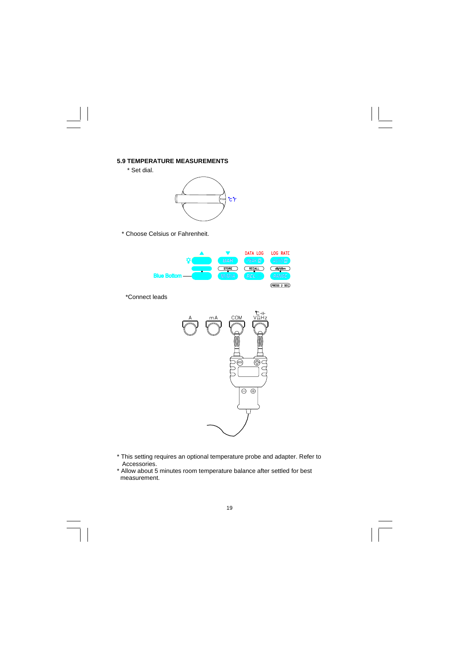# **5.9 TEMPERATURE MEASUREMENTS**

\* Set dial.

 $\begin{array}{c|c|c|c|c} \hline \quad \quad & \quad \quad & \quad \quad & \quad \quad \\ \hline \end{array}$ 



\* Choose Celsius or Fahrenheit.



\*Connect leads



\* This setting requires an optional temperature probe and adapter. Refer to Accessories.

\* Allow about 5 minutes room temperature balance after settled for best measurement.

#### 19

 $\overline{\phantom{0}}$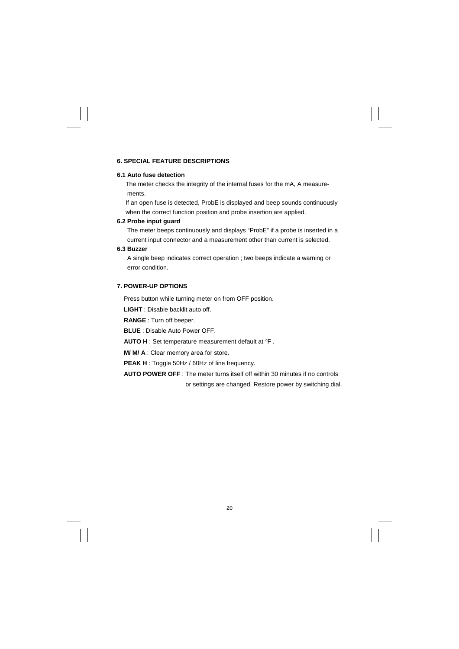#### **6. SPECIAL FEATURE DESCRIPTIONS**

#### **6.1 Auto fuse detection**

The meter checks the integrity of the internal fuses for the mA, A measurements.

 If an open fuse is detected, ProbE is displayed and beep sounds continuously when the correct function position and probe insertion are applied.

#### **6.2 Probe input guard**

 The meter beeps continuously and displays "ProbE" if a probe is inserted in a current input connector and a measurement other than current is selected.

## **6.3 Buzzer**

 A single beep indicates correct operation ; two beeps indicate a warning or error condition.

### **7. POWER-UP OPTIONS**

Press button while turning meter on from OFF position.

**LIGHT** : Disable backlit auto off.

**RANGE** : Turn off beeper.

**BLUE** : Disable Auto Power OFF.

**AUTO H** : Set temperature measurement default at °F .

**M/ M/ A** : Clear memory area for store.

**PEAK H** : Toggle 50Hz / 60Hz of line frequency.

**AUTO POWER OFF** : The meter turns itself off within 30 minutes if no controls

or settings are changed. Restore power by switching dial.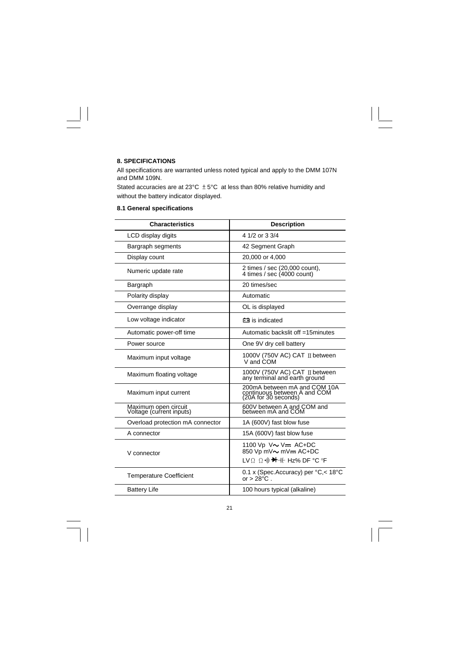## **8. SPECIFICATIONS**

 $\begin{array}{c|c|c|c|c} \hline \quad \quad & \quad \quad & \quad \quad & \quad \quad \\ \hline \quad \quad & \quad \quad & \quad \quad & \quad \quad \\ \hline \end{array}$ 

 $\overline{\overline{\phantom{a}}\phantom{a}}$ 

All specifications are warranted unless noted typical and apply to the DMM 107N and DMM 109N.

Stated accuracies are at 23°C  $\pm$  5°C at less than 80% relative humidity and without the battery indicator displayed.

|  | 8.1 General specifications |  |
|--|----------------------------|--|
|  |                            |  |

| <b>Characteristics</b>                           | <b>Description</b>                                                                     |
|--------------------------------------------------|----------------------------------------------------------------------------------------|
| LCD display digits                               | 4 1/2 or 3 3/4                                                                         |
| Bargraph segments                                | 42 Segment Graph                                                                       |
| Display count                                    | 20,000 or 4,000                                                                        |
| Numeric update rate                              | 2 times / sec (20,000 count),<br>4 times / sec $(4000$ count)                          |
| Bargraph                                         | 20 times/sec                                                                           |
| Polarity display                                 | Automatic                                                                              |
| Overrange display                                | OL is displayed                                                                        |
| Low voltage indicator                            | is indicated                                                                           |
| Automatic power-off time                         | Automatic backslit off =15minutes                                                      |
| Power source                                     | One 9V dry cell battery                                                                |
| Maximum input voltage                            | 1000V (750V AC) CAT ∏ between<br>V and COM                                             |
| Maximum floating voltage                         | 1000V (750V AC) CAT II between<br>any terminal and earth ground                        |
| Maximum input current                            | 200mA between mA and COM 10A<br>continuous between A and COM<br>(20A for 30 seconds)   |
| Maximum open circuit<br>Voltage (current inputs) | 600V between A and COM and<br>between mA and COM                                       |
| Overload protection mA connector                 | 1A (600V) fast blow fuse                                                               |
| A connector                                      | 15A (600V) fast blow fuse                                                              |
| V connector                                      | 1100 Vp V~ V= AC+DC<br>850 Vp mV~ mV- AC+DC<br>LVΩ Ω · → <del>→ H</del> + Hz% DF °C °F |
| <b>Temperature Coefficient</b>                   | 0.1 x (Spec.Accuracy) per °C,< 18°C<br>or $> 28^{\circ}$ C.                            |
| <b>Battery Life</b>                              | 100 hours typical (alkaline)                                                           |

21

 $\frac{1}{\sqrt{1-\frac{1}{2}}}$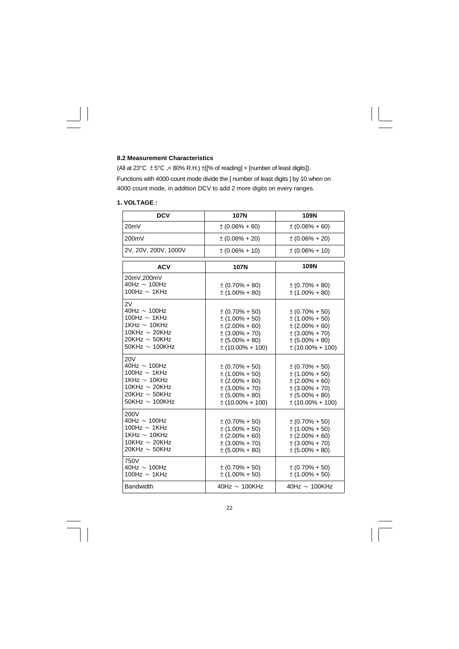#### **8.2 Measurement Characteristics**

(All at 23°C  $\pm$  5°C ,< 80% R.H.)  $\pm$ ([% of reading] + [number of least digits]). Functions with 4000-count mode divide the [ number of least digits ] by 10 when on 4000 count mode, in addition DCV to add 2 more digits on every ranges.

# **1. VOLTAGE :**

| <b>DCV</b>                                                                                                                                   | <b>107N</b>                                                                                                                            | 109N                                                                                                                                    |
|----------------------------------------------------------------------------------------------------------------------------------------------|----------------------------------------------------------------------------------------------------------------------------------------|-----------------------------------------------------------------------------------------------------------------------------------------|
| 20mV                                                                                                                                         | $\pm (0.06\% + 60)$                                                                                                                    | $\pm (0.06\% + 60)$                                                                                                                     |
| 200mV                                                                                                                                        | $\pm (0.06\% + 20)$                                                                                                                    | $\pm (0.06\% + 20)$                                                                                                                     |
| 2V, 20V, 200V, 1000V                                                                                                                         | $\pm (0.06\% + 10)$                                                                                                                    | $\pm (0.06\% + 10)$                                                                                                                     |
| <b>ACV</b>                                                                                                                                   | <b>107N</b>                                                                                                                            | 109N                                                                                                                                    |
| 20mV,200mV<br>40Hz $\sim$ 100Hz<br>100Hz $\sim$ 1KHz                                                                                         | $\pm (0.70\% + 80)$<br>$\pm$ (1.00% + 80)                                                                                              | $\pm (0.70\% + 80)$<br>$\pm$ (1.00% + 80)                                                                                               |
| 2V<br>40Hz $\sim$ 100Hz<br>100Hz $\sim$ 1KHz<br>1KHz $\sim$ 10KHz<br>10KHz $\sim$ 20KHz<br>20KHz $\sim$ 50KHz<br>$50$ KHz $\sim$ 100KHz      | $\pm (0.70\% + 50)$<br>$\pm$ (1.00% + 50)<br>$\pm (2.00\% + 60)$<br>$\pm (3.00\% + 70)$<br>$\pm (5.00\% + 80)$<br>$\pm$ (10.00% + 100) | $\pm (0.70\% + 50)$<br>$\pm$ (1.00% + 50)<br>$\pm (2.00\% + 60)$<br>$\pm (3.00\% + 70)$<br>$\pm (5.00\% + 80)$<br>$\pm$ (10.00% + 100)  |
| <b>20V</b><br>40Hz $\sim$ 100Hz<br>100Hz $\sim$ 1KHz<br>1KHz $\sim$ 10KHz<br>10KHz $\sim$ 20KHz<br>20KHz $\sim$ 50KHz<br>50KHz $\sim$ 100KHz | $\pm (0.70\% + 50)$<br>$\pm$ (1.00% + 50)<br>$\pm (2.00\% + 60)$<br>$\pm (3.00\% + 70)$<br>$\pm (5.00\% + 80)$<br>$\pm$ (10.00% + 100) | $\pm (0.70\% + 50)$<br>$\pm (1.00\% + 50)$<br>$\pm (2.00\% + 60)$<br>$\pm (3.00\% + 70)$<br>$\pm (5.00\% + 80)$<br>$\pm$ (10.00% + 100) |
| 200V<br>40Hz $\sim$ 100Hz<br>100Hz $\sim$ 1KHz<br>1KHz $\sim$ 10KHz<br>10KHz $\sim$ 20KHz<br>20KHz $\sim$ 50KHz                              | $\pm (0.70\% + 50)$<br>$\pm$ (1.00% + 50)<br>$\pm (2.00\% + 60)$<br>$\pm (3.00\% + 70)$<br>$\pm (5.00\% + 80)$                         | $\pm (0.70\% + 50)$<br>$\pm$ (1.00% + 50)<br>$\pm (2.00\% + 60)$<br>$\pm (3.00\% + 70)$<br>$\pm (5.00\% + 80)$                          |
| 750V<br>40Hz $\sim$ 100Hz<br>100Hz $\sim$ 1KHz                                                                                               | $\pm (0.70\% + 50)$<br>$\pm$ (1.00% + 50)                                                                                              | $\pm (0.70\% + 50)$<br>$\pm$ (1.00% + 50)                                                                                               |
| <b>Bandwidth</b>                                                                                                                             | 40Hz $\sim$ 100KHz                                                                                                                     | 40Hz $\sim$ 100KHz                                                                                                                      |

22

 $\equiv$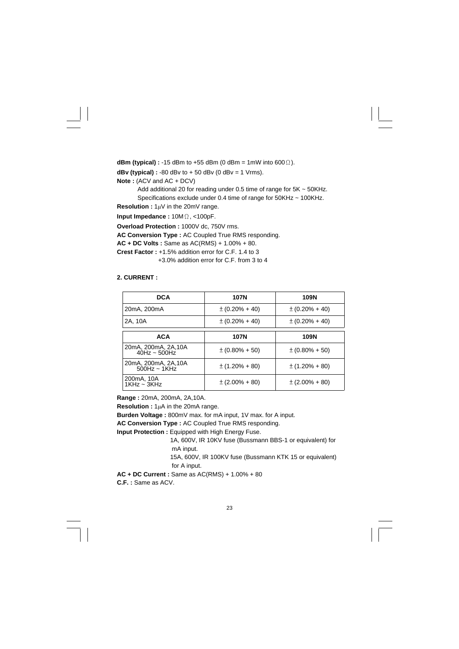**dBm (typical) :** -15 dBm to +55 dBm (0 dBm = 1mW into 600Ω). **dBv (typical) :**  $-80$  dBv to  $+50$  dBv (0 dBv = 1 Vrms).

**Note :** (ACV and AC + DCV)

 Add additional 20 for reading under 0.5 time of range for 5K ~ 50KHz. Specifications exclude under 0.4 time of range for 50KHz ~ 100KHz.

**Resolution :** 1µV in the 20mV range.

**Input Impedance :** 10MΩ, <100pF.

**Overload Protection :** 1000V dc, 750V rms.

**AC Conversion Type :** AC Coupled True RMS responding.

**AC + DC Volts :** Same as AC(RMS) + 1.00% + 80.

**Crest Factor :** +1.5% addition error for C.F. 1.4 to 3

+3.0% addition error for C.F. from 3 to 4

## **2. CURRENT :**

| <b>DCA</b>                              | 107N                | 109N                |
|-----------------------------------------|---------------------|---------------------|
| 20mA, 200mA                             | $\pm (0.20\% + 40)$ | $\pm (0.20\% + 40)$ |
| 2A, 10A                                 | $\pm (0.20\% + 40)$ | $\pm (0.20\% + 40)$ |
| <b>ACA</b>                              | 107N                | 109N                |
| 20mA, 200mA, 2A, 10A<br>$40$ Hz ~ 500Hz | $\pm (0.80\% + 50)$ | $\pm (0.80\% + 50)$ |
| 20mA, 200mA, 2A, 10A<br>$500$ Hz ~ 1KHz | $\pm$ (1.20% + 80)  | $\pm$ (1.20% + 80)  |
| 200mA, 10A<br>$1$ KHz ~ $3$ KHz         | $\pm (2.00\% + 80)$ | $\pm (2.00\% + 80)$ |

**Range :** 20mA, 200mA, 2A,10A.

**Resolution :** 1µA in the 20mA range.

**Burden Voltage :** 800mV max. for mA input, 1V max. for A input.

**AC Conversion Type :** AC Coupled True RMS responding.

**Input Protection :** Equipped with High Energy Fuse.

 1A, 600V, IR 10KV fuse (Bussmann BBS-1 or equivalent) for mA input.

 15A, 600V, IR 100KV fuse (Bussmann KTK 15 or equivalent) for A input.

**AC + DC Current :** Same as AC(RMS) + 1.00% + 80 **C.F. :** Same as ACV.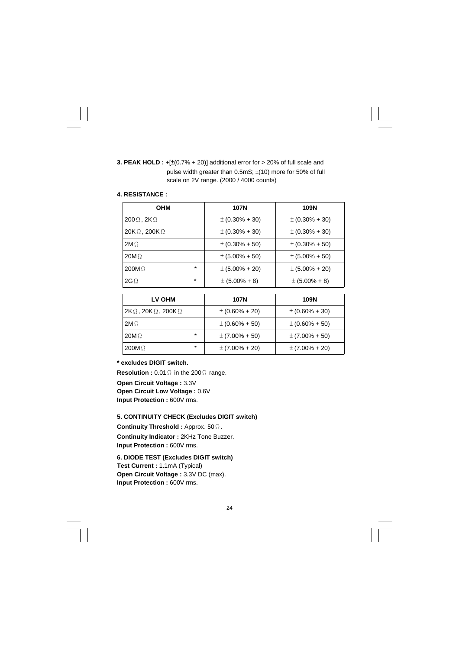**3. PEAK HOLD :** +[±(0.7% + 20)] additional error for > 20% of full scale and pulse width greater than 0.5mS; ±(10) more for 50% of full scale on 2V range. (2000 / 4000 counts)

#### **4. RESISTANCE :**

| <b>OHM</b>                  |         | 107N                | 109N                |
|-----------------------------|---------|---------------------|---------------------|
| $200\Omega$ , 2K $\Omega$   |         | $\pm (0.30\% + 30)$ | $\pm (0.30\% + 30)$ |
| $20K\Omega$ , 200K $\Omega$ |         | $\pm (0.30\% + 30)$ | $\pm (0.30\% + 30)$ |
| $2M\Omega$                  |         | $\pm (0.30\% + 50)$ | $\pm (0.30\% + 50)$ |
| 20M <sub>2</sub>            |         | $\pm (5.00\% + 50)$ | $\pm (5.00\% + 50)$ |
| $200M\Omega$                | $\star$ | $\pm (5.00\% + 20)$ | $\pm (5.00\% + 20)$ |
| $2G\Omega$                  | $\star$ | $\pm (5.00\% + 8)$  | $\pm (5.00\% + 8)$  |

| <b>LV OHM</b>                             | 107N                | 109N                |
|-------------------------------------------|---------------------|---------------------|
| $2K\Omega$ , 20K $\Omega$ , 200K $\Omega$ | $\pm (0.60\% + 20)$ | $\pm (0.60\% + 30)$ |
| $2M\Omega$                                | $\pm (0.60\% + 50)$ | $\pm (0.60\% + 50)$ |
| $\star$<br>$20M\Omega$                    | $\pm$ (7.00% + 50)  | $\pm (7.00\% + 50)$ |
| $\star$<br>$200M\Omega$                   | $\pm (7.00\% + 20)$ | $\pm (7.00\% + 20)$ |

#### **\* excludes DIGIT switch.**

**Resolution :** 0.01Ω in the 200Ω range. **Open Circuit Voltage : 3.3V Open Circuit Low Voltage : 0.6V Input Protection : 600V rms.** 

## **5. CONTINUITY CHECK (Excludes DIGIT switch)**

**Continuity Threshold :** Approx. 50Ω. **Continuity Indicator :** 2KHz Tone Buzzer. **Input Protection : 600V rms.** 

**6. DIODE TEST (Excludes DIGIT switch) Test Current :** 1.1mA (Typical) **Open Circuit Voltage :** 3.3V DC (max). **Input Protection : 600V rms.**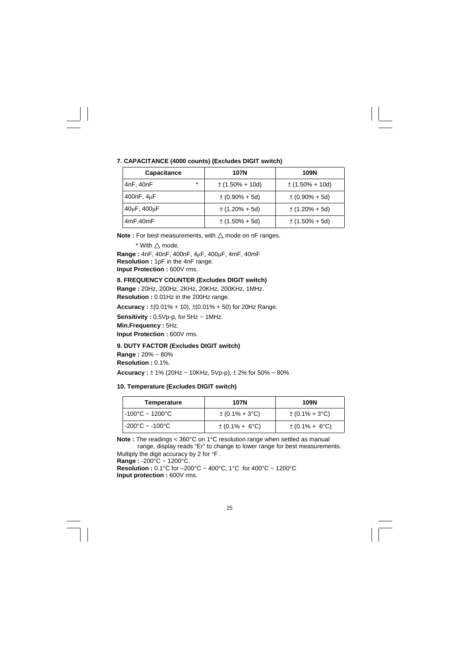| Capacitance         | <b>107N</b>         | 109N                |
|---------------------|---------------------|---------------------|
| $\ast$<br>4nF, 40nF | $\pm$ (1.50% + 10d) | $\pm$ (1.50% + 10d) |
| 400nF, 4µF          | $\pm (0.90\% + 5d)$ | $\pm (0.90\% + 5d)$ |
| 40µF, 400µF         | $\pm$ (1.20% + 5d)  | $\pm$ (1.20% + 5d)  |
| 4mF,40mF            | $\pm$ (1.50% + 5d)  | $\pm$ (1.50% + 5d)  |

#### **7. CAPACITANCE (4000 counts) (Excludes DIGIT switch)**

**Note :** For best measurements, with ∆ mode on nF ranges.

 $*$  With  $\triangle$  mode.

**Range :** 4nF, 40nF, 400nF, 4µF, 400µF, 4mF, 40mF **Resolution :** 1pF in the 4nF range. **Input Protection : 600V rms.** 

#### **8. FREQUENCY COUNTER (Excludes DIGIT switch)**

**Range :** 20Hz, 200Hz, 2KHz, 20KHz, 200KHz, 1MHz.

**Resolution :** 0.01Hz in the 200Hz range.

**Accuracy :** ±(0.01% + 10), ±(0.01% + 50) for 20Hz Range.

**Sensitivity :** 0.5Vp-p, for 5Hz ~ 1MHz.

**Min.Frequency :** 5Hz.

**Input Protection : 600V rms.** 

#### **9. DUTY FACTOR (Excludes DIGIT switch)**

**Range :** 20% ~ 80%

**Resolution :** 0.1%.

**Accuracy :** ± 1% (20Hz ~ 10KHz, 5Vp-p), ± 2% for 50% ~ 80%

#### **10. Temperature (Excludes DIGIT switch)**

| Temperature                          | 107N                       | 109N                       |
|--------------------------------------|----------------------------|----------------------------|
| $-100^{\circ}$ C ~ 1200 $^{\circ}$ C | $\pm (0.1\% + 3\degree C)$ | $\pm (0.1\% + 3\degree C)$ |
| $-200^{\circ}$ C ~ $-100^{\circ}$ C  | $\pm (0.1\% + 6\degree C)$ | $\pm (0.1\% + 6\degree C)$ |

**Note :** The readings < 360°C on 1°C resolution range when settled as manual range, display reads "Er" to change to lower range for best measurements.

Multiply the digit accuracy by 2 for °F .

**Range :** -200°C ~ 1200°C.

**Resolution :** 0.1°C for –200°C ~ 400°C, 1°C for 400°C ~ 1200°C **Input protection : 600V rms.**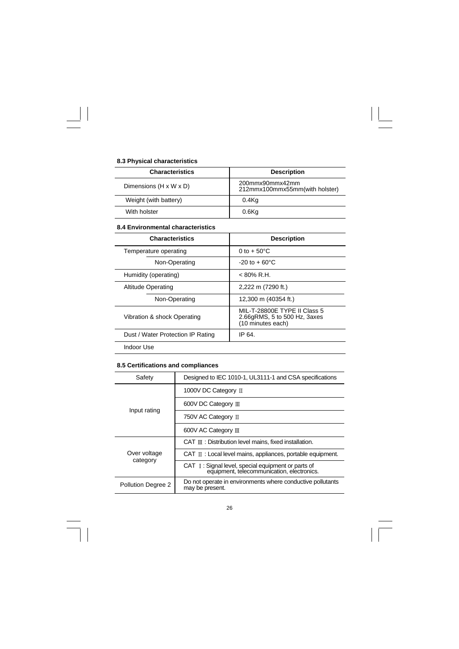# **8.3 Physical characteristics**

 $\begin{array}{c|c} \hline \quad \quad & \quad \quad & \quad \quad \\ \hline \quad \quad & \quad \quad & \quad \quad \\ \hline \end{array}$ 

 $\overline{\mathbb{u}}_1$ 

| <b>Characteristics</b> | <b>Description</b>                                |  |
|------------------------|---------------------------------------------------|--|
| Dimensions (H x W x D) | 200mmx90mmx42mm<br>212mmx100mmx55mm(with holster) |  |
| Weight (with battery)  | $0.4$ Kg                                          |  |
| With holster           | $0.6$ Kg                                          |  |

 $\frac{\overline{\phantom{0}}}{\overline{\phantom{0}}\phantom{0}}$ 

#### **8.4 Environmental characteristics**

| <b>Characteristics</b>            | <b>Description</b>                                                                |
|-----------------------------------|-----------------------------------------------------------------------------------|
| Temperature operating             | 0 to $+50^{\circ}$ C                                                              |
| Non-Operating                     | $-20$ to $+60^{\circ}$ C                                                          |
| Humidity (operating)              | $< 80\%$ R.H.                                                                     |
| <b>Altitude Operating</b>         | 2,222 m (7290 ft.)                                                                |
| Non-Operating                     | 12,300 m (40354 ft.)                                                              |
| Vibration & shock Operating       | MIL-T-28800E TYPE II Class 5<br>2.66gRMS, 5 to 500 Hz, 3axes<br>(10 minutes each) |
| Dust / Water Protection IP Rating | IP 64.                                                                            |
| Indoor Use                        |                                                                                   |

## **8.5 Certifications and compliances**

| Safety                   | Designed to IEC 1010-1, UL3111-1 and CSA specifications                                          |  |
|--------------------------|--------------------------------------------------------------------------------------------------|--|
| Input rating             | 1000V DC Category II                                                                             |  |
|                          | 600V DC Category III                                                                             |  |
|                          | 750V AC Category II                                                                              |  |
|                          | 600V AC Category III                                                                             |  |
| Over voltage<br>category | CAT Ⅲ: Distribution level mains, fixed installation.                                             |  |
|                          | CAT $\mathbb{I}$ : Local level mains, appliances, portable equipment.                            |  |
|                          | CAT I: Signal level, special equipment or parts of<br>equipment, telecommunication, electronics. |  |
| Pollution Degree 2       | Do not operate in environments where conductive pollutants<br>may be present.                    |  |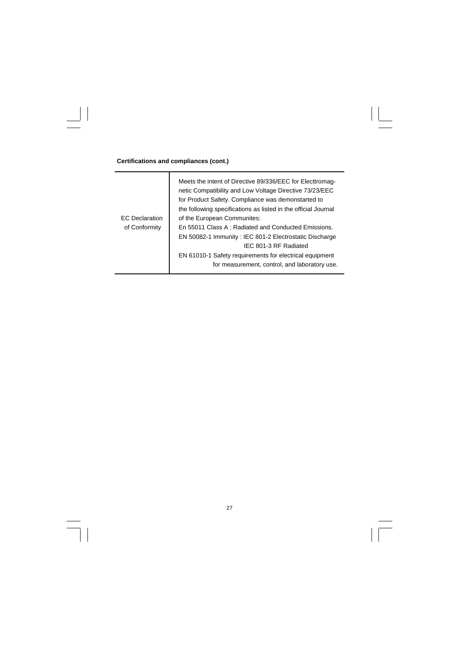**Certifications and compliances (cont.)** 

 $\begin{array}{c|c} \hline \quad \quad & \quad \quad & \quad \quad \\ \hline \quad \quad & \quad \quad & \quad \quad \\ \hline \quad \quad & \quad \quad & \quad \quad \\ \hline \end{array}$ 

 $\frac{1}{\sqrt{2}}$ 

| <b>EC</b> Declaration | Meets the intent of Directive 89/336/EEC for Electtromag-<br>netic Compatibility and Low Voltage Directive 73/23/EEC<br>for Product Safety. Compliance was demonstarted to<br>the following specifications as listed in the official Journal<br>of the European Communites: |
|-----------------------|-----------------------------------------------------------------------------------------------------------------------------------------------------------------------------------------------------------------------------------------------------------------------------|
| of Conformity         | En 55011 Class A: Radiated and Conducted Emissions.                                                                                                                                                                                                                         |
|                       | EN 50082-1 Immunity: IEC 801-2 Electrostatic Discharge                                                                                                                                                                                                                      |
|                       | IFC 801-3 RF Radiated                                                                                                                                                                                                                                                       |
|                       | EN 61010-1 Safety requirements for electrical equipment                                                                                                                                                                                                                     |
|                       | for measurement, control, and laboratory use.                                                                                                                                                                                                                               |

 $\sqrt{1}$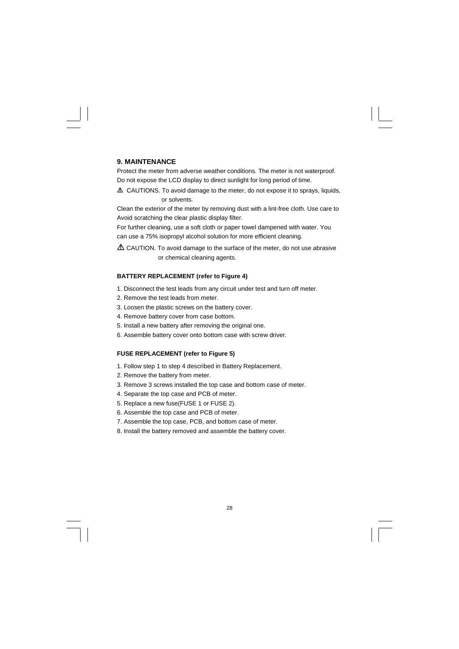#### **9. MAINTENANCE**

Protect the meter from adverse weather conditions. The meter is not waterproof. Do not expose the LCD display to direct sunlight for long period of time.

 CAUTIONS. To avoid damage to the meter, do not expose it to sprays, liquids, or solvents.

Clean the exterior of the meter by removing dust with a lint-free cloth. Use care to Avoid scratching the clear plastic display filter.

For further cleaning, use a soft cloth or paper towel dampened with water. You can use a 75% isopropyl alcohol solution for more efficient cleaning.

 $\Delta$  CAUTION. To avoid damage to the surface of the meter, do not use abrasive or chemical cleaning agents.

#### **BATTERY REPLACEMENT (refer to Figure 4)**

- 1. Disconnect the test leads from any circuit under test and turn off meter.
- 2. Remove the test leads from meter.
- 3. Loosen the plastic screws on the battery cover.
- 4. Remove battery cover from case bottom.
- 5. Install a new battery after removing the original one.
- 6. Assemble battery cover onto bottom case with screw driver.

#### **FUSE REPLACEMENT (refer to Figure 5)**

- 1. Follow step 1 to step 4 described in Battery Replacement.
- 2. Remove the battery from meter.
- 3. Remove 3 screws installed the top case and bottom case of meter.
- 4. Separate the top case and PCB of meter.
- 5. Replace a new fuse(FUSE 1 or FUSE 2).
- 6. Assemble the top case and PCB of meter.
- 7. Assemble the top case, PCB, and bottom case of meter.
- 8. Install the battery removed and assemble the battery cover.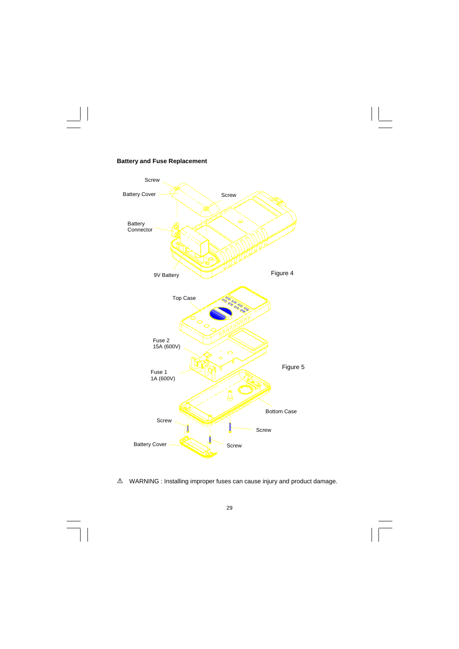

# **Battery and Fuse Replacement**

 $\begin{array}{c|c} \hline \quad \quad & \quad \quad & \quad \quad \\ \hline \end{array}$ 

WARNING : Installing improper fuses can cause injury and product damage.

29

 $\overline{\Gamma}$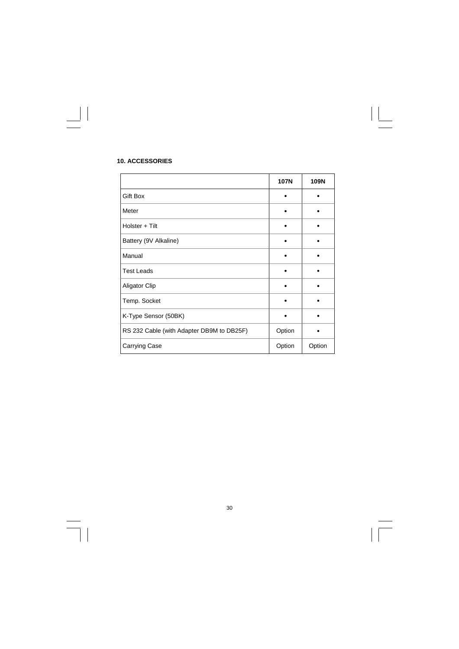|                                           | <b>107N</b> | 109N   |
|-------------------------------------------|-------------|--------|
| Gift Box                                  |             |        |
| Meter                                     |             |        |
| Holster + Tilt                            |             |        |
| Battery (9V Alkaline)                     |             |        |
| Manual                                    |             |        |
| <b>Test Leads</b>                         |             |        |
| Aligator Clip                             |             |        |
| Temp. Socket                              |             |        |
| K-Type Sensor (50BK)                      |             |        |
| RS 232 Cable (with Adapter DB9M to DB25F) | Option      |        |
| Carrying Case                             | Option      | Option |

 $\sqrt{-}$ 

## **10. ACCESSORIES**

 $\begin{array}{c|c} \hline \hline \end{array}$ 

 $\frac{1}{\sqrt{2}}$